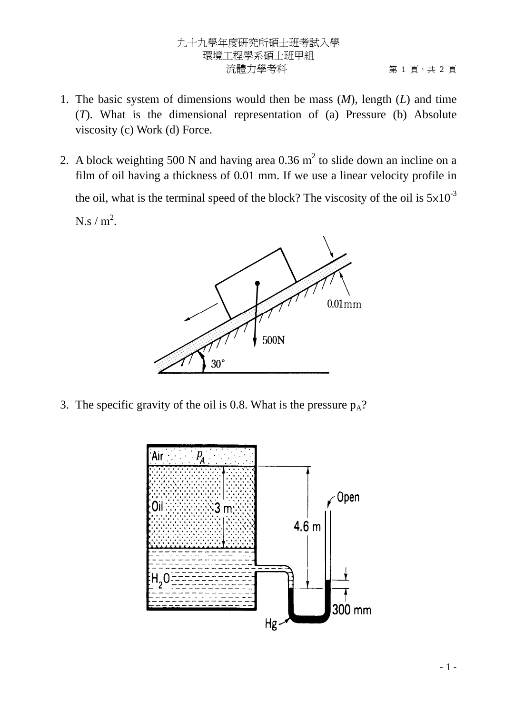## 九十九學年度研究所碩士班考試入學 環境工程學系碩士班甲組 流體力學考科 第 1 頁,共 2 頁

- 1. The basic system of dimensions would then be mass (*M*), length (*L*) and time (*T*). What is the dimensional representation of (a) Pressure (b) Absolute viscosity (c) Work (d) Force.
- 2. A block weighting 500 N and having area  $0.36$  m<sup>2</sup> to slide down an incline on a film of oil having a thickness of 0.01 mm. If we use a linear velocity profile in the oil, what is the terminal speed of the block? The viscosity of the oil is  $5\times10^{-3}$  $N.s / m<sup>2</sup>$ .



3. The specific gravity of the oil is 0.8. What is the pressure  $p_A$ ?